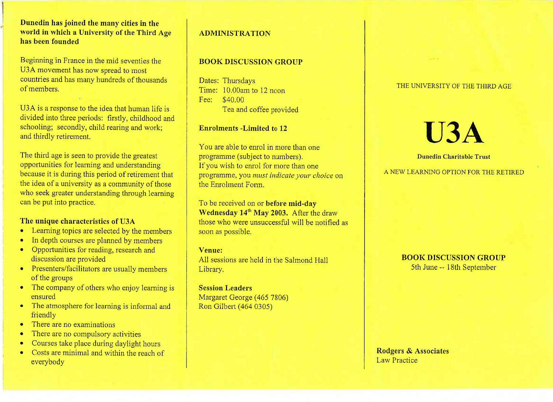### **Duncdin has joined the many cities in the world in which a University of the Third Agehas been founded**

Beginning 'in France in the mid seventies theU3A movement has now spread to most countries and has many hundreds of thousandsof members.

U3A is a response to the idea that human life is divided into three periods: firstly, childhood andschooling; secondly, child rearing and work;and thirdly retirement.

The third age is seen to provide the greatest opportunities for learning and understanding because it is during this period of retirement that the idea of a university as a community of those who seek greater understanding through learningcan be put into practice.

#### **The unique characteristics of USA**

- Learning topics are selected by the members
- In depth courses are planned by members<br>• Opportunities for reading research and
- Opportunities for reading, research anddiscussion are provided
- Presenters/facilitators are usually members
- of the groups<br>• The company of others who enjoy learning is ensured
- The atmosphere for learning is informal and<br>• The distribution
- friendly<br>• There are no examinations
- There are no compulsory activities
- Courses take place during daylight hours
- Costs are minimal and within the reach ofeverybody

# **ADMINISTRATION**

## **BOOK DISCUSSION GROUP**

Dates: Thursdays Time: 10.00am to 12 noonFee: \$40.00Lea and coffee provided

#### **Enrolments -Limited to 12**

You are able to enrol in more than oneprogramme (subject to numbers). If you wish to enrol for more than one programme, you *must indicate your choice* onthe Enrolment Form.

To be received on or **before mid-dayWednesday 14<sup>th</sup> May 2003.** After the draw those who were unsuccessful will be notified assoon as possible.

#### **Venue:**

 All sessions are held in the Salmond HallLibrary.

**Session Leaders** Margaret George (465 7806)Ron Gilbert (464 0305)

#### THE UNIVERSITY OF THE THIRD AGE

# **USA**

#### **Dimedin Charitable Trust**

#### A NEW LEARNING OPTION FOR THE RETIRED

#### **BOOK DISCUSSION GROUP**5th June -- 18th September

**Rodgers & Associates**Law Practice